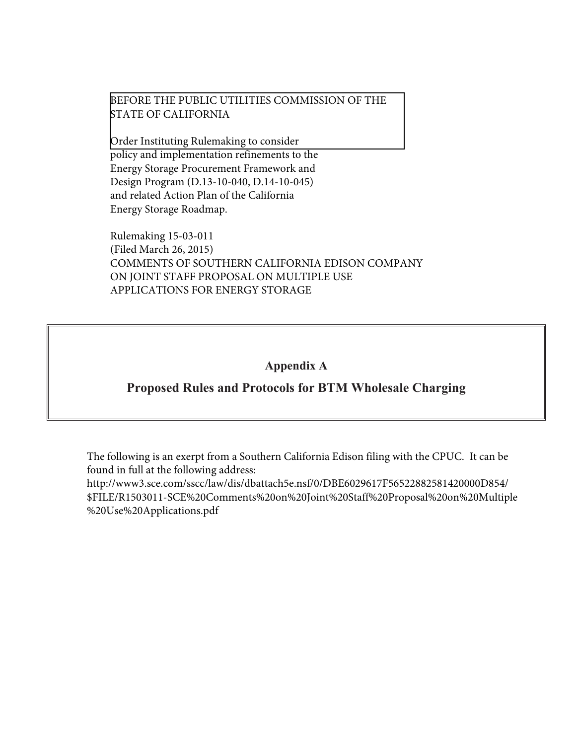### BEFORE THE PUBLIC UTILITIES COMMISSION OF THE STATE OF CALIFORNIA

Order Instituting Rulemaking to consider policy and implementation refinements to the Energy Storage Procurement Framework and Design Program (D.13-10-040, D.14-10-045) and related Action Plan of the California Energy Storage Roadmap.

Rulemaking 15-03-011 (Filed March 26, 2015) COMMENTS OF SOUTHERN CALIFORNIA EDISON COMPANY ON JOINT STAFF PROPOSAL ON MULTIPLE USE APPLICATIONS FOR ENERGY STORAGE

## **Appendix A**

## **Proposed Rules and Protocols for BTM Wholesale Charging**

The following is an exerpt from a Southern California Edison filing with the CPUC. It can be found in full at the following address:

http://www3.sce.com/sscc/law/dis/dbattach5e.nsf/0/DBE6029617F56522882581420000D854/ \$FILE/R1503011-SCE%20Comments%20on%20Joint%20Staff%20Proposal%20on%20Multiple %20Use%20Applications.pdf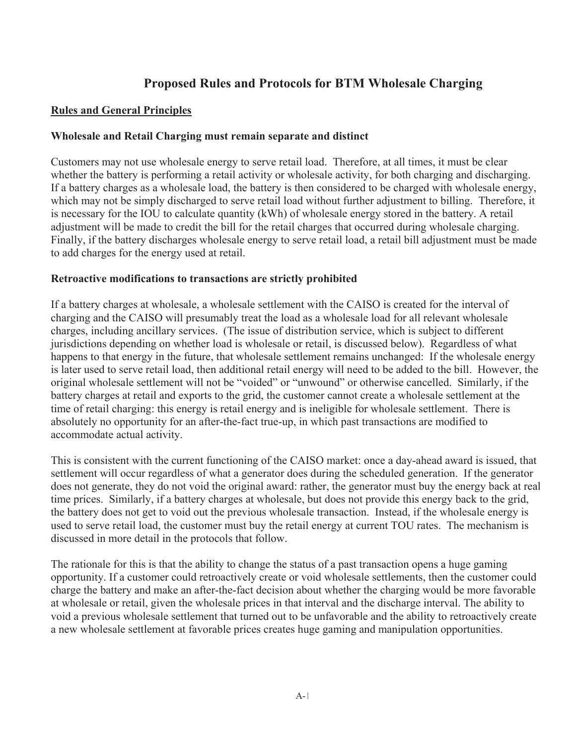# **Proposed Rules and Protocols for BTM Wholesale Charging**

### **Rules and General Principles**

### **Wholesale and Retail Charging must remain separate and distinct**

Customers may not use wholesale energy to serve retail load. Therefore, at all times, it must be clear whether the battery is performing a retail activity or wholesale activity, for both charging and discharging. If a battery charges as a wholesale load, the battery is then considered to be charged with wholesale energy, which may not be simply discharged to serve retail load without further adjustment to billing. Therefore, it is necessary for the IOU to calculate quantity (kWh) of wholesale energy stored in the battery. A retail adjustment will be made to credit the bill for the retail charges that occurred during wholesale charging. Finally, if the battery discharges wholesale energy to serve retail load, a retail bill adjustment must be made to add charges for the energy used at retail.

#### **Retroactive modifications to transactions are strictly prohibited**

If a battery charges at wholesale, a wholesale settlement with the CAISO is created for the interval of charging and the CAISO will presumably treat the load as a wholesale load for all relevant wholesale charges, including ancillary services. (The issue of distribution service, which is subject to different jurisdictions depending on whether load is wholesale or retail, is discussed below). Regardless of what happens to that energy in the future, that wholesale settlement remains unchanged: If the wholesale energy is later used to serve retail load, then additional retail energy will need to be added to the bill. However, the original wholesale settlement will not be "voided" or "unwound" or otherwise cancelled. Similarly, if the battery charges at retail and exports to the grid, the customer cannot create a wholesale settlement at the time of retail charging: this energy is retail energy and is ineligible for wholesale settlement. There is absolutely no opportunity for an after-the-fact true-up, in which past transactions are modified to accommodate actual activity.

This is consistent with the current functioning of the CAISO market: once a day-ahead award is issued, that settlement will occur regardless of what a generator does during the scheduled generation. If the generator does not generate, they do not void the original award: rather, the generator must buy the energy back at real time prices. Similarly, if a battery charges at wholesale, but does not provide this energy back to the grid, the battery does not get to void out the previous wholesale transaction. Instead, if the wholesale energy is used to serve retail load, the customer must buy the retail energy at current TOU rates. The mechanism is discussed in more detail in the protocols that follow.

The rationale for this is that the ability to change the status of a past transaction opens a huge gaming opportunity. If a customer could retroactively create or void wholesale settlements, then the customer could charge the battery and make an after-the-fact decision about whether the charging would be more favorable at wholesale or retail, given the wholesale prices in that interval and the discharge interval. The ability to void a previous wholesale settlement that turned out to be unfavorable and the ability to retroactively create a new wholesale settlement at favorable prices creates huge gaming and manipulation opportunities.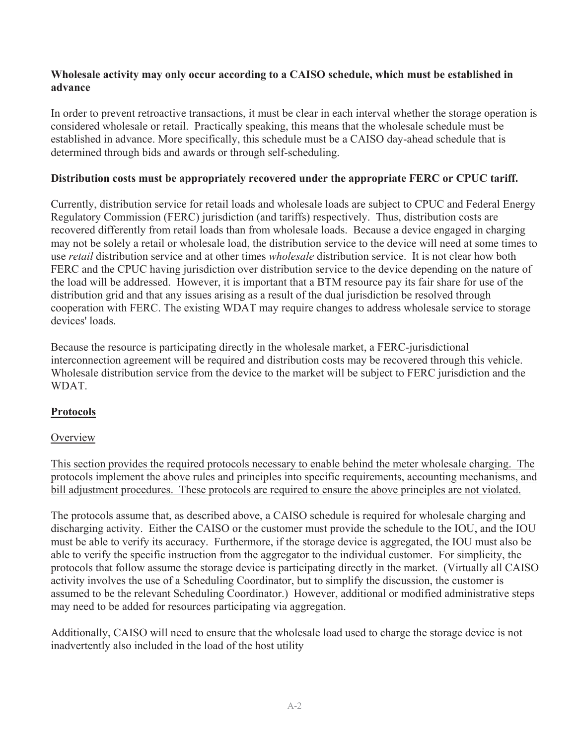### **Wholesale activity may only occur according to a CAISO schedule, which must be established in advance**

In order to prevent retroactive transactions, it must be clear in each interval whether the storage operation is considered wholesale or retail. Practically speaking, this means that the wholesale schedule must be established in advance. More specifically, this schedule must be a CAISO day-ahead schedule that is determined through bids and awards or through self-scheduling.

### **Distribution costs must be appropriately recovered under the appropriate FERC or CPUC tariff.**

Currently, distribution service for retail loads and wholesale loads are subject to CPUC and Federal Energy Regulatory Commission (FERC) jurisdiction (and tariffs) respectively. Thus, distribution costs are recovered differently from retail loads than from wholesale loads. Because a device engaged in charging may not be solely a retail or wholesale load, the distribution service to the device will need at some times to use *retail* distribution service and at other times *wholesale* distribution service. It is not clear how both FERC and the CPUC having jurisdiction over distribution service to the device depending on the nature of the load will be addressed. However, it is important that a BTM resource pay its fair share for use of the distribution grid and that any issues arising as a result of the dual jurisdiction be resolved through cooperation with FERC. The existing WDAT may require changes to address wholesale service to storage devices' loads.

Because the resource is participating directly in the wholesale market, a FERC-jurisdictional interconnection agreement will be required and distribution costs may be recovered through this vehicle. Wholesale distribution service from the device to the market will be subject to FERC jurisdiction and the WDAT.

## **Protocols**

### **Overview**

This section provides the required protocols necessary to enable behind the meter wholesale charging. The protocols implement the above rules and principles into specific requirements, accounting mechanisms, and bill adjustment procedures. These protocols are required to ensure the above principles are not violated.

The protocols assume that, as described above, a CAISO schedule is required for wholesale charging and discharging activity. Either the CAISO or the customer must provide the schedule to the IOU, and the IOU must be able to verify its accuracy. Furthermore, if the storage device is aggregated, the IOU must also be able to verify the specific instruction from the aggregator to the individual customer. For simplicity, the protocols that follow assume the storage device is participating directly in the market. (Virtually all CAISO activity involves the use of a Scheduling Coordinator, but to simplify the discussion, the customer is assumed to be the relevant Scheduling Coordinator.) However, additional or modified administrative steps may need to be added for resources participating via aggregation.

Additionally, CAISO will need to ensure that the wholesale load used to charge the storage device is not inadvertently also included in the load of the host utility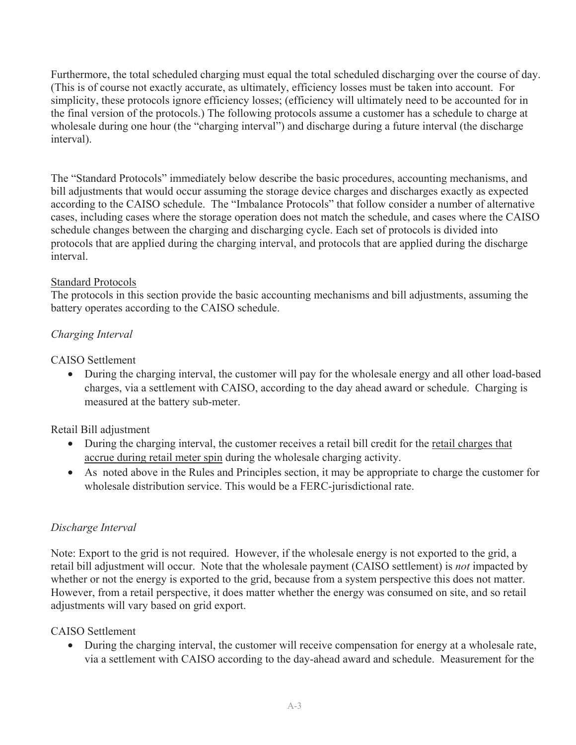Furthermore, the total scheduled charging must equal the total scheduled discharging over the course of day. (This is of course not exactly accurate, as ultimately, efficiency losses must be taken into account. For simplicity, these protocols ignore efficiency losses; (efficiency will ultimately need to be accounted for in the final version of the protocols.) The following protocols assume a customer has a schedule to charge at wholesale during one hour (the "charging interval") and discharge during a future interval (the discharge interval).

The "Standard Protocols" immediately below describe the basic procedures, accounting mechanisms, and bill adjustments that would occur assuming the storage device charges and discharges exactly as expected according to the CAISO schedule. The "Imbalance Protocols" that follow consider a number of alternative cases, including cases where the storage operation does not match the schedule, and cases where the CAISO schedule changes between the charging and discharging cycle. Each set of protocols is divided into protocols that are applied during the charging interval, and protocols that are applied during the discharge interval.

### Standard Protocols

The protocols in this section provide the basic accounting mechanisms and bill adjustments, assuming the battery operates according to the CAISO schedule.

## *Charging Interval*

CAISO Settlement

• During the charging interval, the customer will pay for the wholesale energy and all other load-based charges, via a settlement with CAISO, according to the day ahead award or schedule. Charging is measured at the battery sub-meter.

Retail Bill adjustment

- During the charging interval, the customer receives a retail bill credit for the <u>retail charges that</u> accrue during retail meter spin during the wholesale charging activity.
- As noted above in the Rules and Principles section, it may be appropriate to charge the customer for wholesale distribution service. This would be a FERC-jurisdictional rate.

### *Discharge Interval*

Note: Export to the grid is not required. However, if the wholesale energy is not exported to the grid, a retail bill adjustment will occur. Note that the wholesale payment (CAISO settlement) is *not* impacted by whether or not the energy is exported to the grid, because from a system perspective this does not matter. However, from a retail perspective, it does matter whether the energy was consumed on site, and so retail adjustments will vary based on grid export.

## CAISO Settlement

• During the charging interval, the customer will receive compensation for energy at a wholesale rate, via a settlement with CAISO according to the day-ahead award and schedule. Measurement for the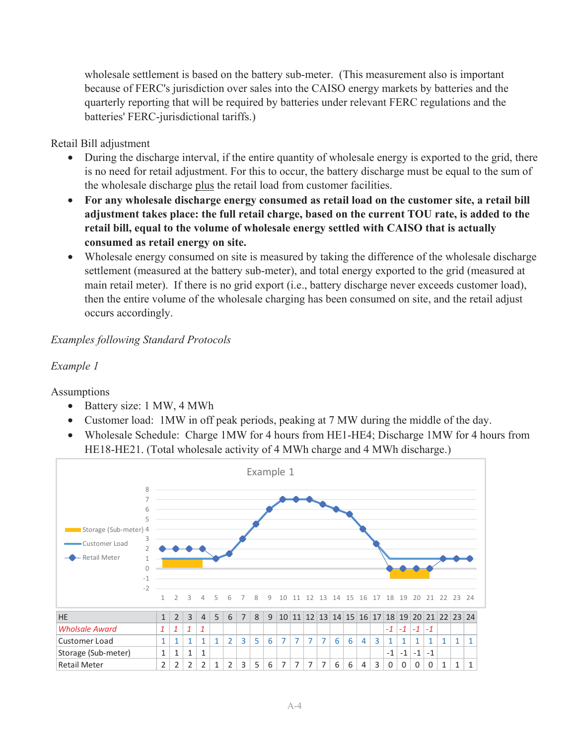wholesale settlement is based on the battery sub-meter. (This measurement also is important because of FERC's jurisdiction over sales into the CAISO energy markets by batteries and the quarterly reporting that will be required by batteries under relevant FERC regulations and the batteries' FERC-jurisdictional tariffs.)

Retail Bill adjustment

- During the discharge interval, if the entire quantity of wholesale energy is exported to the grid, there is no need for retail adjustment. For this to occur, the battery discharge must be equal to the sum of the wholesale discharge plus the retail load from customer facilities.
- **For any wholesale discharge energy consumed as retail load on the customer site, a retail bill adjustment takes place: the full retail charge, based on the current TOU rate, is added to the retail bill, equal to the volume of wholesale energy settled with CAISO that is actually consumed as retail energy on site.**
- Wholesale energy consumed on site is measured by taking the difference of the wholesale discharge settlement (measured at the battery sub-meter), and total energy exported to the grid (measured at main retail meter). If there is no grid export (i.e., battery discharge never exceeds customer load), then the entire volume of the wholesale charging has been consumed on site, and the retail adjust occurs accordingly.

## *Examples following Standard Protocols*

## *Example 1*

Assumptions

- Battery size: 1 MW, 4 MWh
- Customer load: 1MW in off peak periods, peaking at 7 MW during the middle of the day.
- Wholesale Schedule: Charge 1MW for 4 hours from HE1-HE4; Discharge 1MW for 4 hours from HE18-HE21. (Total wholesale activity of 4 MWh charge and 4 MWh discharge.)

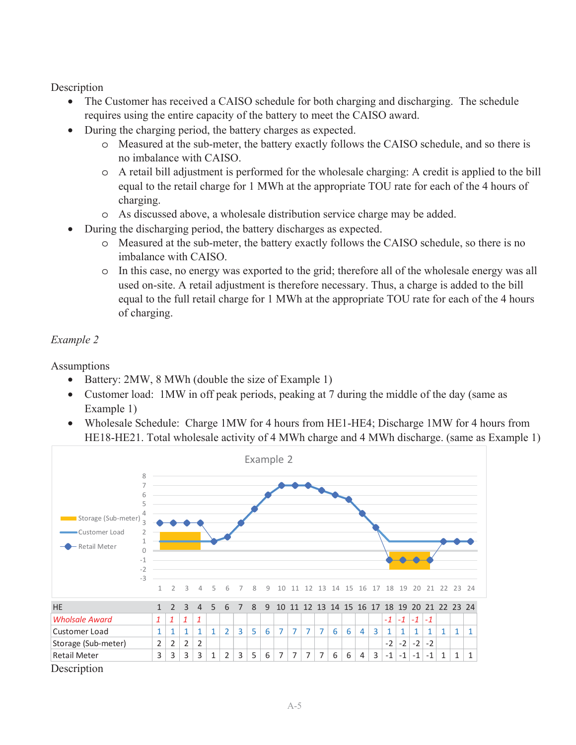Description

- The Customer has received a CAISO schedule for both charging and discharging. The schedule requires using the entire capacity of the battery to meet the CAISO award.
- During the charging period, the battery charges as expected.
	- o Measured at the sub-meter, the battery exactly follows the CAISO schedule, and so there is no imbalance with CAISO.
	- o A retail bill adjustment is performed for the wholesale charging: A credit is applied to the bill equal to the retail charge for 1 MWh at the appropriate TOU rate for each of the 4 hours of charging.
	- o As discussed above, a wholesale distribution service charge may be added.
- During the discharging period, the battery discharges as expected.
	- o Measured at the sub-meter, the battery exactly follows the CAISO schedule, so there is no imbalance with CAISO.
	- o In this case, no energy was exported to the grid; therefore all of the wholesale energy was all used on-site. A retail adjustment is therefore necessary. Thus, a charge is added to the bill equal to the full retail charge for 1 MWh at the appropriate TOU rate for each of the 4 hours of charging.

## *Example 2*

Assumptions

- Battery: 2MW, 8 MWh (double the size of Example 1)
- Customer load: 1 MW in off peak periods, peaking at 7 during the middle of the day (same as Example 1)
- Wholesale Schedule: Charge 1MW for 4 hours from HE1-HE4; Discharge 1MW for 4 hours from HE18-HE21. Total wholesale activity of 4 MWh charge and 4 MWh discharge. (same as Example 1)

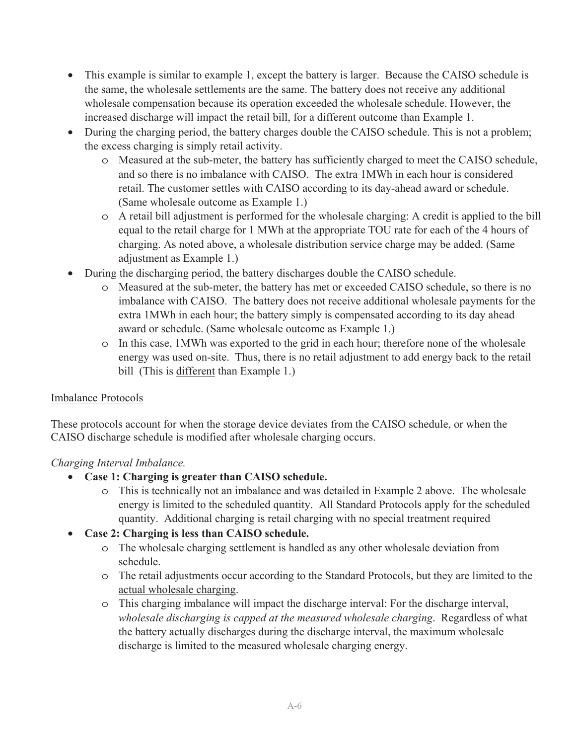- This example is similar to example 1, except the battery is larger. Because the CAISO schedule is the same, the wholesale settlements are the same. The battery does not receive any additional wholesale compensation because its operation exceeded the wholesale schedule. However, the increased discharge will impact the retail bill, for a different outcome than Example 1.
- During the charging period, the battery charges double the CAISO schedule. This is not a problem; the excess charging is simply retail activity.
	- o Measured at the sub-meter, the battery has sufficiently charged to meet the CAISO schedule, and so there is no imbalance with CAISO. The extra 1MWh in each hour is considered retail. The customer settles with CAISO according to its day-ahead award or schedule. (Same wholesale outcome as Example 1.)
	- o A retail bill adjustment is performed for the wholesale charging: A credit is applied to the bill equal to the retail charge for 1 MWh at the appropriate TOU rate for each of the 4 hours of charging. As noted above, a wholesale distribution service charge may be added. (Same adjustment as Example 1.)
- During the discharging period, the battery discharges double the CAISO schedule.
	- o Measured at the sub-meter, the battery has met or exceeded CAISO schedule, so there is no imbalance with CAISO. The battery does not receive additional wholesale payments for the extra 1MWh in each hour; the battery simply is compensated according to its day ahead award or schedule. (Same wholesale outcome as Example 1.)
	- o In this case, 1MWh was exported to the grid in each hour; therefore none of the wholesale energy was used on-site. Thus, there is no retail adjustment to add energy back to the retail bill (This is different than Example 1.)

## Imbalance Protocols

These protocols account for when the storage device deviates from the CAISO schedule, or when the CAISO discharge schedule is modified after wholesale charging occurs.

## *Charging Interval Imbalance.*

- **Case 1: Charging is greater than CAISO schedule.** 
	- o This is technically not an imbalance and was detailed in Example 2 above. The wholesale energy is limited to the scheduled quantity. All Standard Protocols apply for the scheduled quantity. Additional charging is retail charging with no special treatment required
- **Case 2: Charging is less than CAISO schedule.** 
	- o The wholesale charging settlement is handled as any other wholesale deviation from schedule.
	- o The retail adjustments occur according to the Standard Protocols, but they are limited to the actual wholesale charging.
	- o This charging imbalance will impact the discharge interval: For the discharge interval, *wholesale discharging is capped at the measured wholesale charging*. Regardless of what the battery actually discharges during the discharge interval, the maximum wholesale discharge is limited to the measured wholesale charging energy.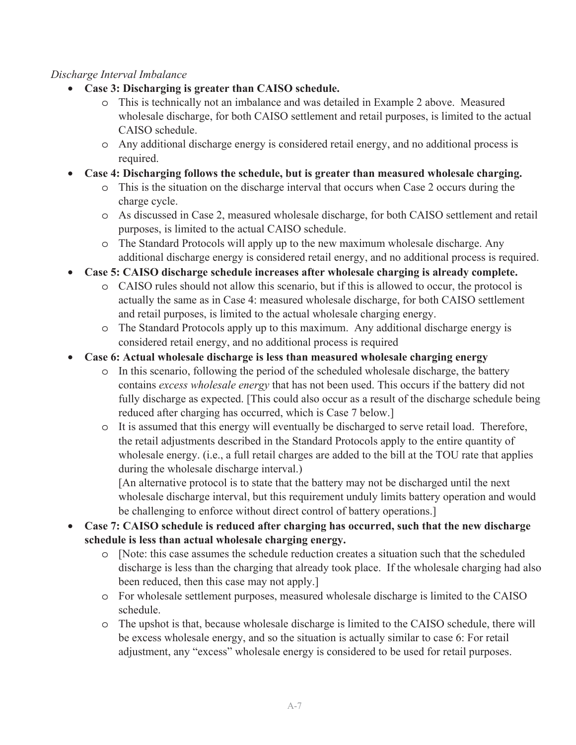## *Discharge Interval Imbalance*

- **Case 3: Discharging is greater than CAISO schedule.** 
	- o This is technically not an imbalance and was detailed in Example 2 above. Measured wholesale discharge, for both CAISO settlement and retail purposes, is limited to the actual CAISO schedule.
	- o Any additional discharge energy is considered retail energy, and no additional process is required.
- **Case 4: Discharging follows the schedule, but is greater than measured wholesale charging.** 
	- o This is the situation on the discharge interval that occurs when Case 2 occurs during the charge cycle.
	- o As discussed in Case 2, measured wholesale discharge, for both CAISO settlement and retail purposes, is limited to the actual CAISO schedule.
	- o The Standard Protocols will apply up to the new maximum wholesale discharge. Any additional discharge energy is considered retail energy, and no additional process is required.
- **Case 5: CAISO discharge schedule increases after wholesale charging is already complete.** 
	- o CAISO rules should not allow this scenario, but if this is allowed to occur, the protocol is actually the same as in Case 4: measured wholesale discharge, for both CAISO settlement and retail purposes, is limited to the actual wholesale charging energy.
	- o The Standard Protocols apply up to this maximum. Any additional discharge energy is considered retail energy, and no additional process is required
- **Case 6: Actual wholesale discharge is less than measured wholesale charging energy** 
	- o In this scenario, following the period of the scheduled wholesale discharge, the battery contains *excess wholesale energy* that has not been used. This occurs if the battery did not fully discharge as expected. [This could also occur as a result of the discharge schedule being reduced after charging has occurred, which is Case 7 below.]
	- o It is assumed that this energy will eventually be discharged to serve retail load. Therefore, the retail adjustments described in the Standard Protocols apply to the entire quantity of wholesale energy. (i.e., a full retail charges are added to the bill at the TOU rate that applies during the wholesale discharge interval.)

[An alternative protocol is to state that the battery may not be discharged until the next wholesale discharge interval, but this requirement unduly limits battery operation and would be challenging to enforce without direct control of battery operations.]

- **Case 7: CAISO schedule is reduced after charging has occurred, such that the new discharge schedule is less than actual wholesale charging energy.** 
	- o [Note: this case assumes the schedule reduction creates a situation such that the scheduled discharge is less than the charging that already took place. If the wholesale charging had also been reduced, then this case may not apply.]
	- o For wholesale settlement purposes, measured wholesale discharge is limited to the CAISO schedule.
	- o The upshot is that, because wholesale discharge is limited to the CAISO schedule, there will be excess wholesale energy, and so the situation is actually similar to case 6: For retail adjustment, any "excess" wholesale energy is considered to be used for retail purposes.